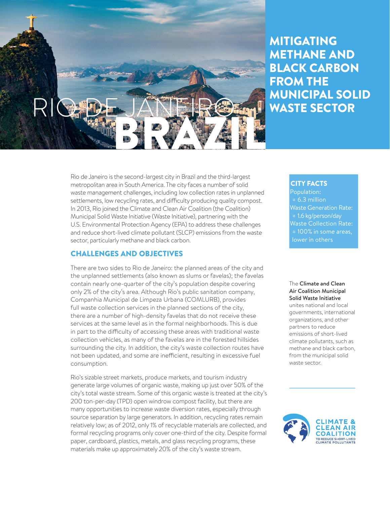

# MITIGATING METHANE AND BLACK CARBON FROM THE MUNICIPAL SOLID WASTE SECTOR

Rio de Janeiro is the second-largest city in Brazil and the third-largest metropolitan area in South America. The city faces a number of solid waste management challenges, including low collection rates in unplanned settlements, low recycling rates, and difficulty producing quality compost. In 2013, Rio joined the Climate and Clean Air Coalition (the Coalition) Municipal Solid Waste Initiative (Waste Initiative), partnering with the U.S. Environmental Protection Agency (EPA) to address these challenges and reduce short-lived climate pollutant (SLCP) emissions from the waste sector, particularly methane and black carbon.

### CHALLENGES AND OBJECTIVES

There are two sides to Rio de Janeiro: the planned areas of the city and the unplanned settlements (also known as slums or favelas); the favelas contain nearly one-quarter of the city's population despite covering only 2% of the city's area. Although Rio's public sanitation company, Companhia Municipal de Limpeza Urbana (COMLURB), provides full waste collection services in the planned sections of the city, there are a number of high-density favelas that do not receive these services at the same level as in the formal neighborhoods. This is due in part to the difficulty of accessing these areas with traditional waste collection vehicles, as many of the favelas are in the forested hillsides surrounding the city. In addition, the city's waste collection routes have not been updated, and some are inefficient, resulting in excessive fuel consumption.

Rio's sizable street markets, produce markets, and tourism industry generate large volumes of organic waste, making up just over 50% of the city's total waste stream. Some of this organic waste is treated at the city's 200 ton-per-day (TPD) open windrow compost facility, but there are many opportunities to increase waste diversion rates, especially through source separation by large generators. In addition, recycling rates remain relatively low; as of 2012, only 1% of recyclable materials are collected, and formal recycling programs only cover one-third of the city. Despite formal paper, cardboard, plastics, metals, and glass recycling programs, these materials make up approximately 20% of the city's waste stream.

### CITY FACTS

Population: ≈ 6.3 million Waste Generation Rate: ≈ 1.6 kg/person/day Waste Collection Rate: ≈ 100% in some areas, lower in others

The Climate and Clean Air Coalition Municipal Solid Waste Initiative unites national and local governments, international organizations, and other

partners to reduce emissions of short-lived climate pollutants, such as methane and black carbon, from the municipal solid waste sector.